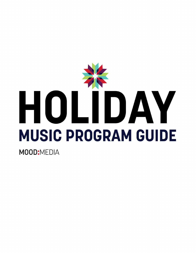

**MOOD:MEDIA**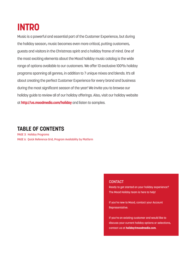# **INTRO**

Music is a powerful and essential part of the Customer Experience, but during the holiday season, music becomes even more critical, putting customers, guests and visitors in the Christmas spirit and a holiday frame of mind. One of the most exciting elements about the Mood holiday music catalog is the wide range of options available to our customers. We offer 13 exclusive 100% holiday programs spanning all genres, in addition to 7 unique mixes and blends. It's all about creating the perfect Customer Experience for every brand and business during the most significant season of the year! We invite you to browse our holiday guide to review all of our holiday offerings. Also, visit our holiday website at **http://us.moodmedia.com/holiday** and listen to samples.

#### **TABLE OF CONTENTS**

PAGE 3: Holiday Programs PAGE 6: Quick Reference Grid, Program Availability by Platform

#### **CONTACT**

Ready to get started on your holiday experience? The Mood Holiday team is here to help!

If you're new to Mood, contact your Account Representative.

If you're an existing customer and would like to discuss your current holiday options or selections, contact us at **holiday@moodmedia.com.**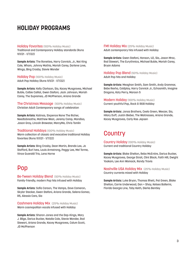#### **HOLIDAY PROGRAMS**

#### **Holiday Favorites** (100% Holiday Music)

Traditional and Contemporary Holiday standards (Runs 11/1/21 - 1/7/22)

**Sample Artists:** The Ronettes, Harry Connick, Jr., Nat King Cole, Wham, Johnny Mathis, Mariah Carey, Darlene Love, Wings, Bing Crosby, Stevie Wonder

Holiday Pop (100% Holiday Music) Adult Pop Holiday (Runs 11/1/21 - 1/7/22)

**Sample Artists:** Kelly Clarkson, Sia, Kacey Musgraves, Michael Buble, Colbie Caillat, Gwen Stefani, Jack Johnson, Mariah Carey, The Supremes, JD McPherson, Ariana Grande

The Christmas Message (100% Holiday Music) Christian Adult Contemporary songs of celebration

**Sample Artists:** Katinas, Sixpence None The Richer, Needtobreathe, Matthew West, Jeremy Camp, Mandisa, Jason Gray, Lincoln Brewster, MercyMe, Chris Tomlin

**Traditional Holidays** (100% Holiday Music) Warm collection of classic and evocative traditional Holiday favorites (Runs 11/1/21 - 1/7/22)

**Sample Artists:** Bing Crosby, Dean Martin, Brenda Lee, Jo Stafford, Burl Ives, Louis Armstrong, Peggy Lee, Mel Torme, Vince Guaraldi Trio, Lena Horne

#### Pop

Be-Tween Holiday Blend (50% Holiday Music) Family-friendly, modern Pop hits infused with Holiday

**Sample Artists:** Sofia Carson, The Vamps, Dove Cameron, Skylar Stecker, Gwen Stefani, Ariana Grande, Selena Gomez, R5, Alessia Cara, Sia

Cashmere Holiday Mix (25% Holiday Music) Warm cosmopolitan vocals infused with Holiday

**Sample Artists:** Sharon Jones and the Dap-Kings, Mary J. Blige, Darius Rucker, Natalie Cole, Stevie Wonder, Rod Stewart, Ariana Grande, Kacey Musgraves, Calum Scott, JD McPherson

**FM1 Holiday Mix** (25% Holiday Music) Adult contemporary hits infused with Holiday

**Sample Artists:** Gwen Stefani, Hanson, U2, Sia, Jason Mraz, Rod Stewart, The Eurythmics, Michael Buble, Mariah Carey, Bryan Adams

Holiday Pop Blend (50% Holiday Music) Adult Pop hits and Holiday

**Sample Artists:** Meaghan Smith, Sam Smith, Andy Grammar, Bebe Rexha, Coldplay, Harry Connick Jr., Echosmith, Imagine Dragons, Katy Perry, Maroon 5

Modern Holiday (100% Holiday Music) Current youthful Pop, Rock & R&B Holiday

**Sample Artists:** Jonas Brothers, Ceelo Green, Weezer, Sia, Hilary Duff, Justin Bieber, The Waitresses, Ariana Grande, Kacey Musgraves, Carly Rae Jepsen

### **Country**

Country Holiday (100% Holiday Music) Current and traditional Country Holiday

**Sample Artists:** Blake Shelton, Reba McEntire, Darius Rucker, Kacey Musgraves, George Strait, Clint Black, Faith Hill, Dwight Yoakam, Lee Ann Womack, Randy Travis

Nashville USA Holiday Mix (25% Holiday Music) Country currents mixed with Holiday

**Sample Artists:** Luke Bryan, Thomas Rhett, Pat Green, Blake Shelton, Carrie Underwood, Dan + Shay, Kelsea Ballerini, Florida Georgia Line, Toby Keith, Dierks Bentley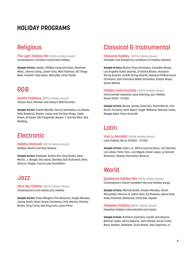#### **HOLIDAY PROGRAMS**

#### **Religious**

The Light Holiday Mix (25% Holiday Music) Contemporary Christian mixed with Holiday

**Sample Artists:** Avalon, Phillips Craig and Dean, Matthew West, Jeremy Camp, Jason Gray, Matt Redman, All Things New, 7eventh Time Down, MercyMe, Chris Tomlin

#### R&B

Soulful Holidays (100% Holiday Music) Classic Soul, Motown and today's R&B favorites

**Sample Artists:** Stevie Wonder, Donny Hathaway, Lou Rawls, Kelly Rowland, Sharon Jones and the Dap-Kings, Ceelo Green, Al Green, Ella Fitzgerald, Booker T. and the MGs, Otis Redding

#### **Electronic**

Holiday Remixed (100% Holiday Music) Holiday electro and Pop remixes

**Sample Artists:** Kaskade, Eartha Kitt, King Kooba, Dean Martin, J. Boogie, Roy Ayers, Bombay Dub Orchestra, Nina Simone, Psapp, Future Loop Foundation

#### Jazz

Ultra Hip Holiday (100% Holiday Music) Contemporary and classic jazz Holiday

**Sample Artists:** Duke Ellington,The Ventures, Sergio Mendes, Jimmy Smith, Brian Setzer Orchestra, Pink Martini, Charles Brown, King Curtis, Nat King Cole, Louis Prima

#### Classical & Instrumental

Classical Holiday (100% Holiday Music)

Chamber and Symphonic renditions of Holiday classics

**Sample Artists:** Boston Pops Orchestra, Canadian Brass, Los Angeles Guitar Quartet, Christine Brown, Hampton String Quartet, Camilli String Quartet, National Philharmonic Orchestra, San Francisco Ballet Orchestra, Empire Brass, Sylvia Woods

Holiday Instrumentals (100% Holiday Music)

Instrumental classical, easy listening, jazz Holiday (Runs 11/1/21 - 1/7/22)

**Sample Artists:** Boney James, Dave Koz, David Benoit, Tom Scott, Fourplay, Herb Alpert, Roger Williams, Ramsey Lewis, Beegie Adair, Vince Guaraldi

#### Latin

Viva La Navidad (100% Holiday Music) Latin Holiday (Runs 11/25/21 - 1/7/22)

**Sample Artists:** Cuba L.A., Billo's Caracas Boys, Jon Secada, Los Lobos, Yomo Toro, Luis Miguel, Oscar Lopez, La Sonora Dinamita, Tatiana, Parrandon Boricua

### World

**Quebecois Holiday Mix** (25% Holiday Music) Contemporary french canadian hits and Holiday songs

**Sample Artists:** Michael Buble, Shawn Mendes, Sarah McLachlan, Maroon 5, Celine Dion, Ed Sheeran, Diana Krall, Andy Grammer, Bahamas, Carly Rae Jepsen

Hawaiian Holiday (100% Holiday Music) Hawaiian Holiday instrumentals and vocals

**Sample Artists:** Brothers Cazimero, Cecilio and Kapono Beamer, Hapa, Henry Kapono, John Keawe, Ka'au Crater Boys, Kanilau, Keahiwai, Ozzie Kotani, Abe Lagrimas, Jr.